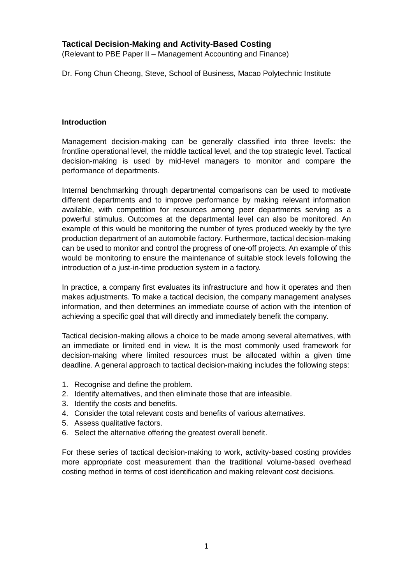# **Tactical Decision-Making and Activity-Based Costing**

(Relevant to PBE Paper II – Management Accounting and Finance)

Dr. Fong Chun Cheong, Steve, School of Business, Macao Polytechnic Institute

#### **Introduction**

Management decision-making can be generally classified into three levels: the frontline operational level, the middle tactical level, and the top strategic level. Tactical decision-making is used by mid-level managers to monitor and compare the performance of departments.

Internal benchmarking through departmental comparisons can be used to motivate different departments and to improve performance by making relevant information available, with competition for resources among peer departments serving as a powerful stimulus. Outcomes at the departmental level can also be monitored. An example of this would be monitoring the number of tyres produced weekly by the tyre production department of an automobile factory. Furthermore, tactical decision-making can be used to monitor and control the progress of one-off projects. An example of this would be monitoring to ensure the maintenance of suitable stock levels following the introduction of a just-in-time production system in a factory.

In practice, a company first evaluates its infrastructure and how it operates and then makes adjustments. To make a tactical decision, the company management analyses information, and then determines an immediate course of action with the intention of achieving a specific goal that will directly and immediately benefit the company.

Tactical decision-making allows a choice to be made among several alternatives, with an immediate or limited end in view. It is the most commonly used framework for decision-making where limited resources must be allocated within a given time deadline. A general approach to tactical decision-making includes the following steps:

- 1. Recognise and define the problem.
- 2. Identify alternatives, and then eliminate those that are infeasible.
- 3. Identify the costs and benefits.
- 4. Consider the total relevant costs and benefits of various alternatives.
- 5. Assess qualitative factors.
- 6. Select the alternative offering the greatest overall benefit.

For these series of tactical decision-making to work, activity-based costing provides more appropriate cost measurement than the traditional volume-based overhead costing method in terms of cost identification and making relevant cost decisions.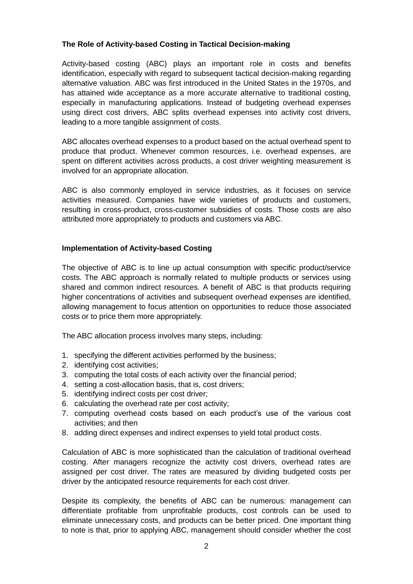## **The Role of Activity-based Costing in Tactical Decision-making**

Activity-based costing (ABC) plays an important role in costs and benefits identification, especially with regard to subsequent tactical decision-making regarding alternative valuation. ABC was first introduced in the United States in the 1970s, and has attained wide acceptance as a more accurate alternative to traditional costing, especially in manufacturing applications. Instead of budgeting overhead expenses using direct cost drivers, ABC splits overhead expenses into activity cost drivers, leading to a more tangible assignment of costs.

ABC allocates overhead expenses to a product based on the actual overhead spent to produce that product. Whenever common resources, i.e. overhead expenses, are spent on different activities across products, a cost driver weighting measurement is involved for an appropriate allocation.

ABC is also commonly employed in service industries, as it focuses on service activities measured. Companies have wide varieties of products and customers, resulting in cross-product, cross-customer subsidies of costs. Those costs are also attributed more appropriately to products and customers via ABC.

## **Implementation of Activity-based Costing**

The objective of ABC is to line up actual consumption with specific product/service costs. The ABC approach is normally related to multiple products or services using shared and common indirect resources. A benefit of ABC is that products requiring higher concentrations of activities and subsequent overhead expenses are identified, allowing management to focus attention on opportunities to reduce those associated costs or to price them more appropriately.

The ABC allocation process involves many steps, including:

- 1. specifying the different activities performed by the business;
- 2. identifying cost activities;
- 3. computing the total costs of each activity over the financial period;
- 4. setting a cost-allocation basis, that is, cost drivers;
- 5. identifying indirect costs per cost driver;
- 6. calculating the overhead rate per cost activity;
- 7. computing overhead costs based on each product's use of the various cost activities; and then
- 8. adding direct expenses and indirect expenses to yield total product costs.

Calculation of ABC is more sophisticated than the calculation of traditional overhead costing. After managers recognize the activity cost drivers, overhead rates are assigned per cost driver. The rates are measured by dividing budgeted costs per driver by the anticipated resource requirements for each cost driver.

Despite its complexity, the benefits of ABC can be numerous: management can differentiate profitable from unprofitable products, cost controls can be used to eliminate unnecessary costs, and products can be better priced. One important thing to note is that, prior to applying ABC, management should consider whether the cost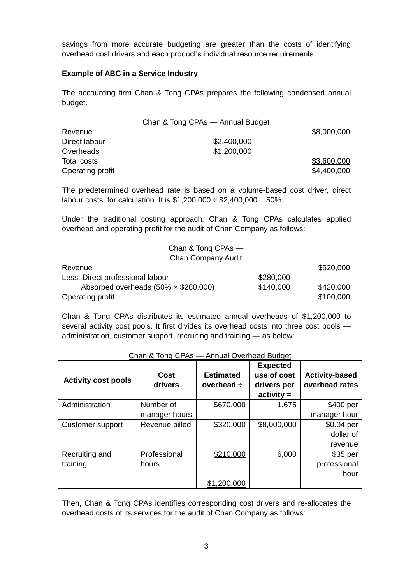savings from more accurate budgeting are greater than the costs of identifying overhead cost drivers and each product's individual resource requirements.

## **Example of ABC in a Service Industry**

The accounting firm Chan & Tong CPAs prepares the following condensed annual budget.

|                  | Chan & Tong CPAs - Annual Budget |             |
|------------------|----------------------------------|-------------|
| Revenue          |                                  | \$8,000,000 |
| Direct labour    | \$2,400,000                      |             |
| Overheads        | \$1,200,000                      |             |
| Total costs      |                                  | \$3,600,000 |
| Operating profit |                                  | \$4,400,000 |

The predetermined overhead rate is based on a volume-based cost driver, direct labour costs, for calculation. It is  $$1,200,000 \div $2,400,000 = 50\%$ .

Under the traditional costing approach, Chan & Tong CPAs calculates applied overhead and operating profit for the audit of Chan Company as follows:

| Chan & Tong CPAs —                          |           |           |
|---------------------------------------------|-----------|-----------|
| <b>Chan Company Audit</b>                   |           |           |
| Revenue                                     |           | \$520,000 |
| Less: Direct professional labour            | \$280,000 |           |
| Absorbed overheads $(50\% \times $280,000)$ | \$140,000 | \$420,000 |
| Operating profit                            |           | \$100,000 |

Chan & Tong CPAs distributes its estimated annual overheads of \$1,200,000 to several activity cost pools. It first divides its overhead costs into three cost pools administration, customer support, recruiting and training — as below:

| Chan & Tong CPAs - Annual Overhead Budget |                |                  |                 |                       |
|-------------------------------------------|----------------|------------------|-----------------|-----------------------|
|                                           |                |                  | <b>Expected</b> |                       |
| <b>Activity cost pools</b>                | Cost           | <b>Estimated</b> | use of cost     | <b>Activity-based</b> |
|                                           | drivers        | overhead ÷       | drivers per     | overhead rates        |
|                                           |                |                  | $activity =$    |                       |
| Administration                            | Number of      | \$670,000        | 1,675           | \$400 per             |
|                                           | manager hours  |                  |                 | manager hour          |
| Customer support                          | Revenue billed | \$320,000        | \$8,000,000     | $$0.04$ per           |
|                                           |                |                  |                 | dollar of             |
|                                           |                |                  |                 | revenue               |
| Recruiting and                            | Professional   | \$210,000        | 6,000           | $$35$ per             |
| training                                  | hours          |                  |                 | professional          |
|                                           |                |                  |                 | hour                  |
|                                           |                | \$1.200.000      |                 |                       |

Then, Chan & Tong CPAs identifies corresponding cost drivers and re-allocates the overhead costs of its services for the audit of Chan Company as follows: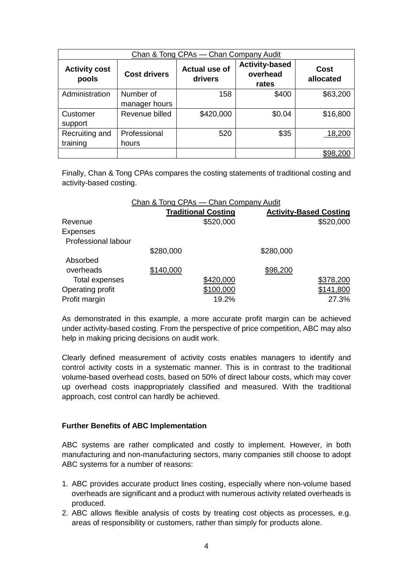| Chan & Tong CPAs - Chan Company Audit |                            |                                 |                                            |                   |
|---------------------------------------|----------------------------|---------------------------------|--------------------------------------------|-------------------|
| <b>Activity cost</b><br>pools         | <b>Cost drivers</b>        | <b>Actual use of</b><br>drivers | <b>Activity-based</b><br>overhead<br>rates | Cost<br>allocated |
| Administration                        | Number of<br>manager hours | 158                             | \$400                                      | \$63,200          |
| Customer<br>support                   | Revenue billed             | \$420,000                       | \$0.04                                     | \$16,800          |
| Recruiting and<br>training            | Professional<br>hours      | 520                             | \$35                                       | 18,200            |
|                                       |                            |                                 |                                            | \$98,200          |

Finally, Chan & Tong CPAs compares the costing statements of traditional costing and activity-based costing.

|                     | Chan & Tong CPAs - Chan Company Audit |           |           |                               |  |
|---------------------|---------------------------------------|-----------|-----------|-------------------------------|--|
|                     | <b>Traditional Costing</b>            |           |           | <b>Activity-Based Costing</b> |  |
| Revenue             |                                       | \$520,000 |           | \$520,000                     |  |
| <b>Expenses</b>     |                                       |           |           |                               |  |
| Professional labour |                                       |           |           |                               |  |
|                     | \$280,000                             |           | \$280,000 |                               |  |
| Absorbed            |                                       |           |           |                               |  |
| overheads           | \$140,000                             |           | \$98,200  |                               |  |
| Total expenses      |                                       | \$420,000 |           | \$378,200                     |  |
| Operating profit    |                                       | \$100,000 |           | \$141,800                     |  |
| Profit margin       |                                       | 19.2%     |           | 27.3%                         |  |

As demonstrated in this example, a more accurate profit margin can be achieved under activity-based costing. From the perspective of price competition, ABC may also help in making pricing decisions on audit work.

Clearly defined measurement of activity costs enables managers to identify and control activity costs in a systematic manner. This is in contrast to the traditional volume-based overhead costs, based on 50% of direct labour costs, which may cover up overhead costs inappropriately classified and measured. With the traditional approach, cost control can hardly be achieved.

#### **Further Benefits of ABC Implementation**

ABC systems are rather complicated and costly to implement. However, in both manufacturing and non-manufacturing sectors, many companies still choose to adopt ABC systems for a number of reasons:

- 1. ABC provides accurate product lines costing, especially where non-volume based overheads are significant and a product with numerous activity related overheads is produced.
- 2. ABC allows flexible analysis of costs by treating cost objects as processes, e.g. areas of responsibility or customers, rather than simply for products alone.